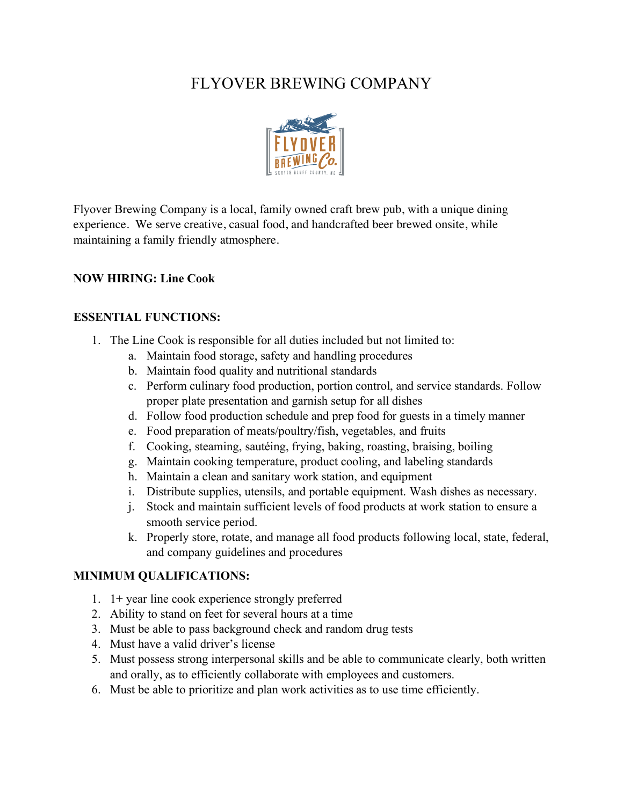# FLYOVER BREWING COMPANY



Flyover Brewing Company is a local, family owned craft brew pub, with a unique dining experience. We serve creative, casual food, and handcrafted beer brewed onsite, while maintaining a family friendly atmosphere.

### **NOW HIRING: Line Cook**

#### **ESSENTIAL FUNCTIONS:**

- 1. The Line Cook is responsible for all duties included but not limited to:
	- a. Maintain food storage, safety and handling procedures
	- b. Maintain food quality and nutritional standards
	- c. Perform culinary food production, portion control, and service standards. Follow proper plate presentation and garnish setup for all dishes
	- d. Follow food production schedule and prep food for guests in a timely manner
	- e. Food preparation of meats/poultry/fish, vegetables, and fruits
	- f. Cooking, steaming, sautéing, frying, baking, roasting, braising, boiling
	- g. Maintain cooking temperature, product cooling, and labeling standards
	- h. Maintain a clean and sanitary work station, and equipment
	- i. Distribute supplies, utensils, and portable equipment. Wash dishes as necessary.
	- j. Stock and maintain sufficient levels of food products at work station to ensure a smooth service period.
	- k. Properly store, rotate, and manage all food products following local, state, federal, and company guidelines and procedures

## **MINIMUM QUALIFICATIONS:**

- 1. 1+ year line cook experience strongly preferred
- 2. Ability to stand on feet for several hours at a time
- 3. Must be able to pass background check and random drug tests
- 4. Must have a valid driver's license
- 5. Must possess strong interpersonal skills and be able to communicate clearly, both written and orally, as to efficiently collaborate with employees and customers.
- 6. Must be able to prioritize and plan work activities as to use time efficiently.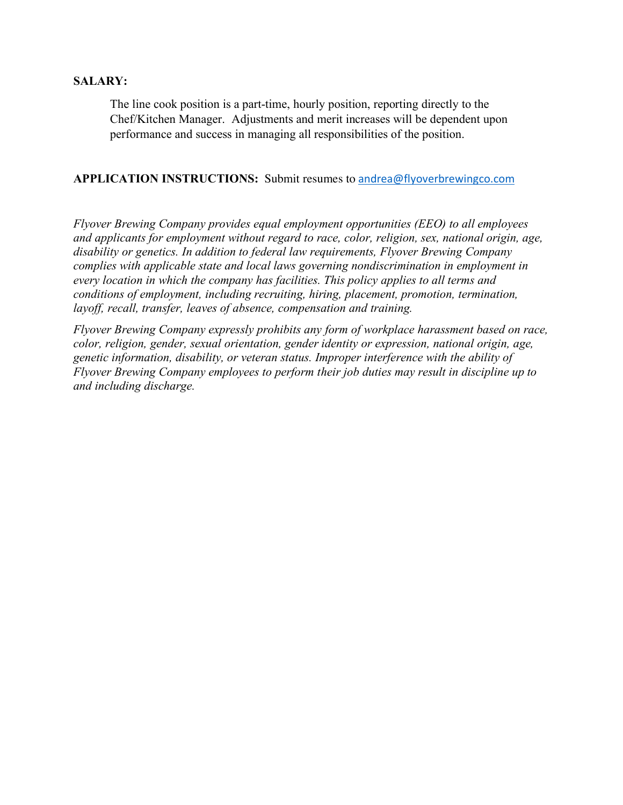#### **SALARY:**

The line cook position is a part-time, hourly position, reporting directly to the Chef/Kitchen Manager. Adjustments and merit increases will be dependent upon performance and success in managing all responsibilities of the position.

#### **APPLICATION INSTRUCTIONS:** Submit resumes to andrea@flyoverbrewingco.com

*Flyover Brewing Company provides equal employment opportunities (EEO) to all employees and applicants for employment without regard to race, color, religion, sex, national origin, age, disability or genetics. In addition to federal law requirements, Flyover Brewing Company complies with applicable state and local laws governing nondiscrimination in employment in every location in which the company has facilities. This policy applies to all terms and conditions of employment, including recruiting, hiring, placement, promotion, termination, layoff, recall, transfer, leaves of absence, compensation and training.*

*Flyover Brewing Company expressly prohibits any form of workplace harassment based on race, color, religion, gender, sexual orientation, gender identity or expression, national origin, age, genetic information, disability, or veteran status. Improper interference with the ability of Flyover Brewing Company employees to perform their job duties may result in discipline up to and including discharge.*